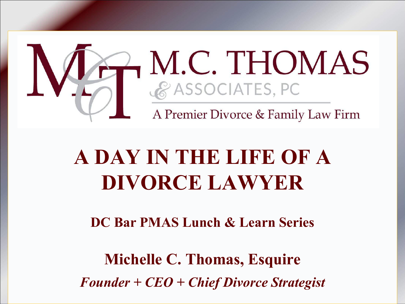

# **A DAY IN THE LIFE OF A DIVORCE LAWYER**

**DC Bar PMAS Lunch & Learn Series**

**Michelle C. Thomas, Esquire** *Founder + CEO + Chief Divorce Strategist*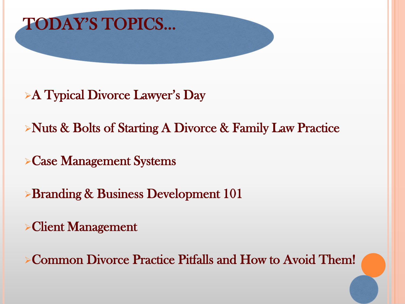

- A Typical Divorce Lawyer's Day
- Nuts & Bolts of Starting A Divorce & Family Law Practice
- Case Management Systems
- **Branding & Business Development 101**
- Client Management

Common Divorce Practice Pitfalls and How to Avoid Them!

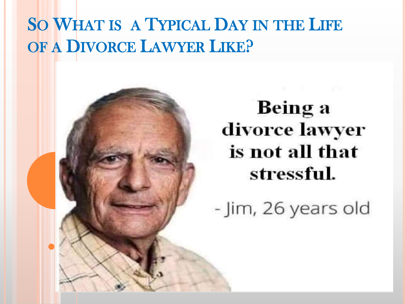## SO WHAT IS A TYPICAL DAY IN THE LIFE OF A DIVORCE LAWYER LIKE?

Being a divorce lawyer is not all that stressful.

- Jim, 26 years old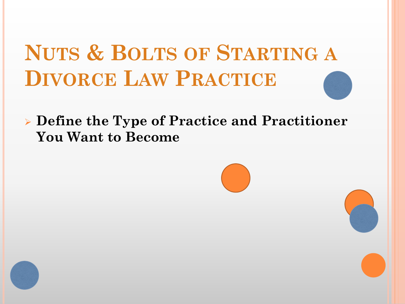**Define the Type of Practice and Practitioner You Want to Become**

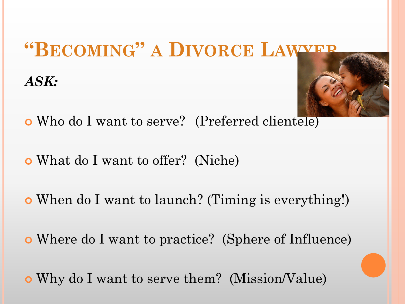## **"BECOMING" A DIVORCE LAWYER**

*ASK:*



- Who do I want to serve? (Preferred clientele)
- What do I want to offer? (Niche)
- When do I want to launch? (Timing is everything!)
- Where do I want to practice? (Sphere of Influence)
- Why do I want to serve them? (Mission/Value)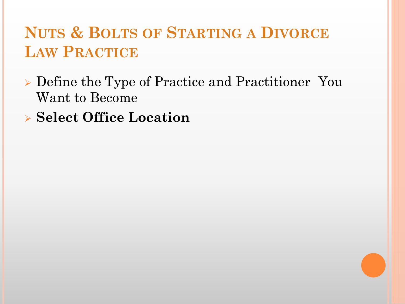- Define the Type of Practice and Practitioner You Want to Become
- **Select Office Location**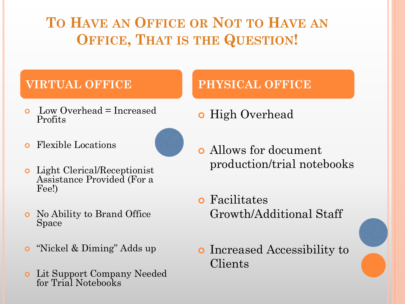#### **TO HAVE AN OFFICE OR NOT TO HAVE AN OFFICE, THAT IS THE QUESTION!**

- Low Overhead = Increased Profits
	-
- Flexible Locations
- Light Clerical/Receptionist Assistance Provided (For a Fee!)
- No Ability to Brand Office Space
- **o** "Nickel & Diming" Adds up
- Lit Support Company Needed for Trial Notebooks

#### **VIRTUAL OFFICE PHYSICAL OFFICE**

- **o** High Overhead
- Allows for document production/trial notebooks
- Facilitates Growth/Additional Staff
- **o** Increased Accessibility to Clients

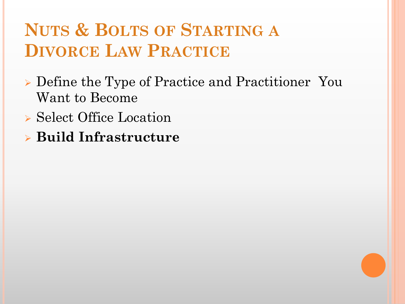- Define the Type of Practice and Practitioner You Want to Become
- ▶ Select Office Location
- **Build Infrastructure**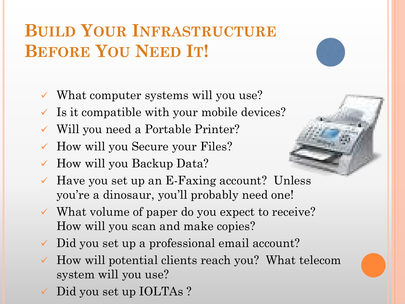## **BUILD YOUR INFRASTRUCTURE BEFORE YOU NEED IT!**

- $\checkmark$  What computer systems will you use?
- $\checkmark$  Is it compatible with your mobile devices?
- Will you need a Portable Printer?
- How will you Secure your Files?
- How will you Backup Data?



- What volume of paper do you expect to receive? How will you scan and make copies?
- Did you set up a professional email account?
- How will potential clients reach you? What telecom system will you use?
- Did you set up IOLTAs?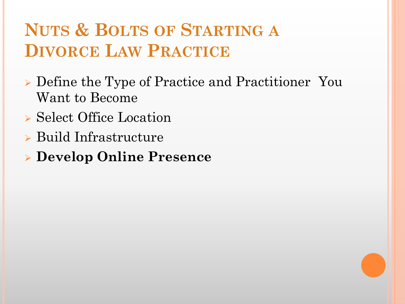- Define the Type of Practice and Practitioner You Want to Become
- Select Office Location
- Build Infrastructure
- **Develop Online Presence**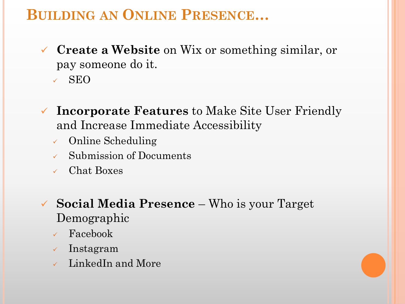#### **BUILDING AN ONLINE PRESENCE…**

- **Create a Website** on Wix or something similar, or pay someone do it.
	- SEO
- **Incorporate Features** to Make Site User Friendly and Increase Immediate Accessibility
	- Online Scheduling
	- Submission of Documents
	- Chat Boxes
- **Social Media Presence**  Who is your Target Demographic
	- Facebook
	- $\sqrt{\ }$  Instagram
	- $\sqrt{\phantom{a}}$  LinkedIn and More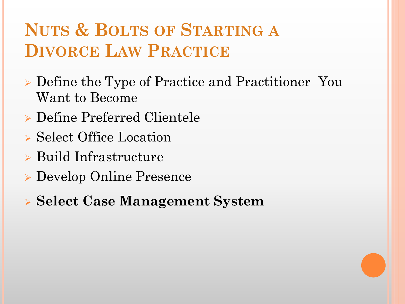- Define the Type of Practice and Practitioner You Want to Become
- Define Preferred Clientele
- ▶ Select Office Location
- Build Infrastructure
- Develop Online Presence
- **Select Case Management System**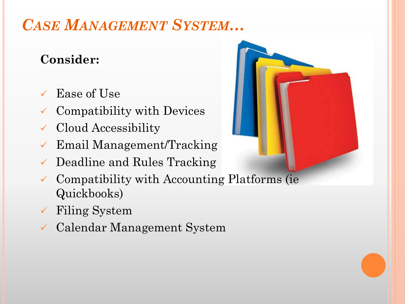#### *CASE MANAGEMENT SYSTEM…*

#### **Consider:**

- Ease of Use
- $\checkmark$  Compatibility with Devices
- Cloud Accessibility
- Email Management/Tracking
- Deadline and Rules Tracking
- Compatibility with Accounting Platforms (ie Quickbooks)
- Filing System
- Calendar Management System

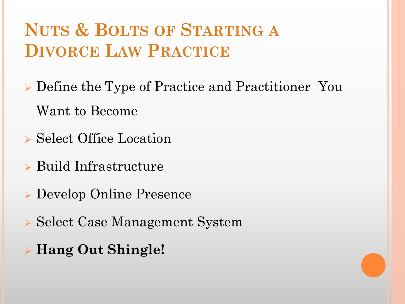- Define the Type of Practice and Practitioner You Want to Become
- Select Office Location
- Build Infrastructure
- Develop Online Presence
- Select Case Management System
- **Hang Out Shingle!**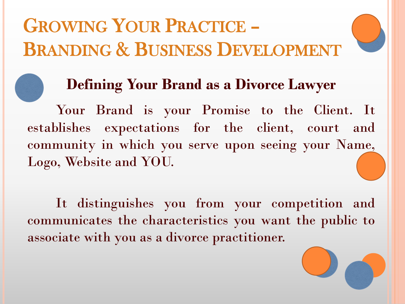# GROWING YOUR PRACTICE – BRANDING & BUSINESS DEVELOPMENT



#### **Defining Your Brand as a Divorce Lawyer**

Your Brand is your Promise to the Client. It establishes expectations for the client, court and community in which you serve upon seeing your Name, Logo, Website and YOU.

It distinguishes you from your competition and communicates the characteristics you want the public to associate with you as a divorce practitioner.

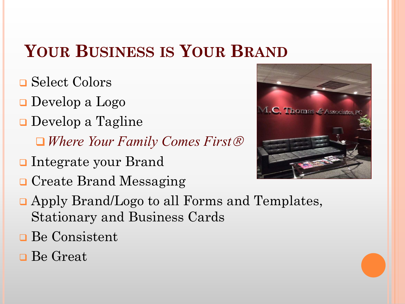## **YOUR BUSINESS IS YOUR BRAND**

- **□ Select Colors**
- Develop a Logo
- **D**evelop a Tagline
	- *Where Your Family Comes First*
- Integrate your Brand
- **□ Create Brand Messaging**
- 

**C. Thomas & Associates** 

- Apply Brand/Logo to all Forms and Templates, Stationary and Business Cards
- **Be Consistent**
- **□** Be Great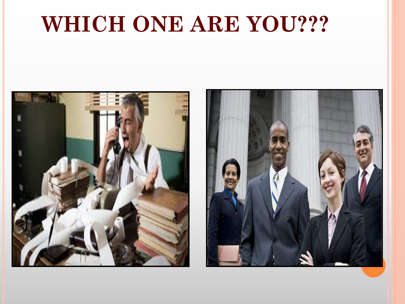# **WHICH ONE ARE YOU???**



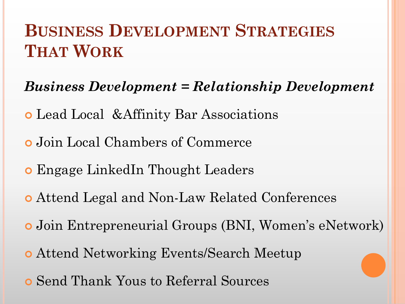## **BUSINESS DEVELOPMENT STRATEGIES THAT WORK**

#### *Business Development = Relationship Development*

- Lead Local &Affinity Bar Associations
- Join Local Chambers of Commerce
- Engage LinkedIn Thought Leaders
- Attend Legal and Non-Law Related Conferences
- Join Entrepreneurial Groups (BNI, Women's eNetwork)
- Attend Networking Events/Search Meetup
- Send Thank Yous to Referral Sources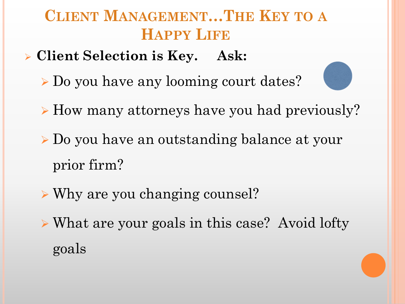#### **CLIENT MANAGEMENT…THE KEY TO A HAPPY LIFE**

- **Client Selection is Key. Ask:**
	- Do you have any looming court dates?
	- $\triangleright$  How many attorneys have you had previously?
	- Do you have an outstanding balance at your prior firm?
	- Why are you changing counsel?
	- What are your goals in this case? Avoid lofty goals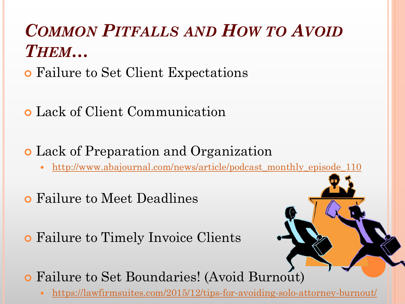## *COMMON PITFALLS AND HOW TO AVOID THEM…*

- Failure to Set Client Expectations
- Lack of Client Communication
- Lack of Preparation and Organization
	- [http://www.abajournal.com/news/article/podcast\\_monthly\\_episode\\_110](http://www.abajournal.com/news/article/podcast_monthly_episode_110)
- Failure to Meet Deadlines
- Failure to Timely Invoice Clients
- Failure to Set Boundaries! (Avoid Burnout)
	- <https://lawfirmsuites.com/2015/12/tips-for-avoiding-solo-attorney-burnout/>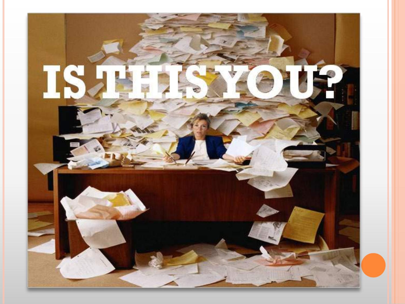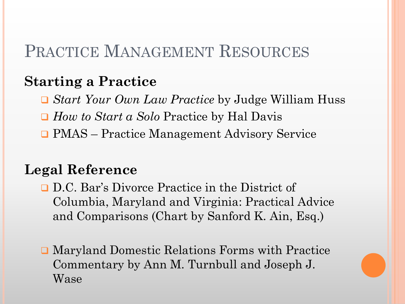#### PRACTICE MANAGEMENT RESOURCES

#### **Starting a Practice**

- *Start Your Own Law Practice* by Judge William Huss
- *How to Start a Solo* Practice by Hal Davis
- PMAS Practice Management Advisory Service

#### **Legal Reference**

- D.C. Bar's Divorce Practice in the District of Columbia, Maryland and Virginia: Practical Advice and Comparisons (Chart by Sanford K. Ain, Esq.)
- Maryland Domestic Relations Forms with Practice Commentary by Ann M. Turnbull and Joseph J. Wase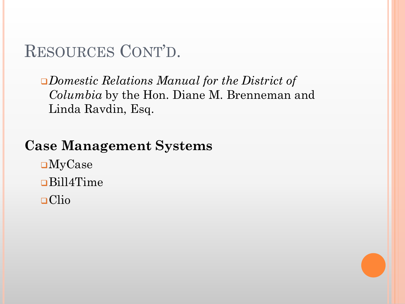#### RESOURCES CONT'D.

*Domestic Relations Manual for the District of Columbia* by the Hon. Diane M. Brenneman and Linda Ravdin, Esq.

#### **Case Management Systems**

MyCase Bill4Time Clio